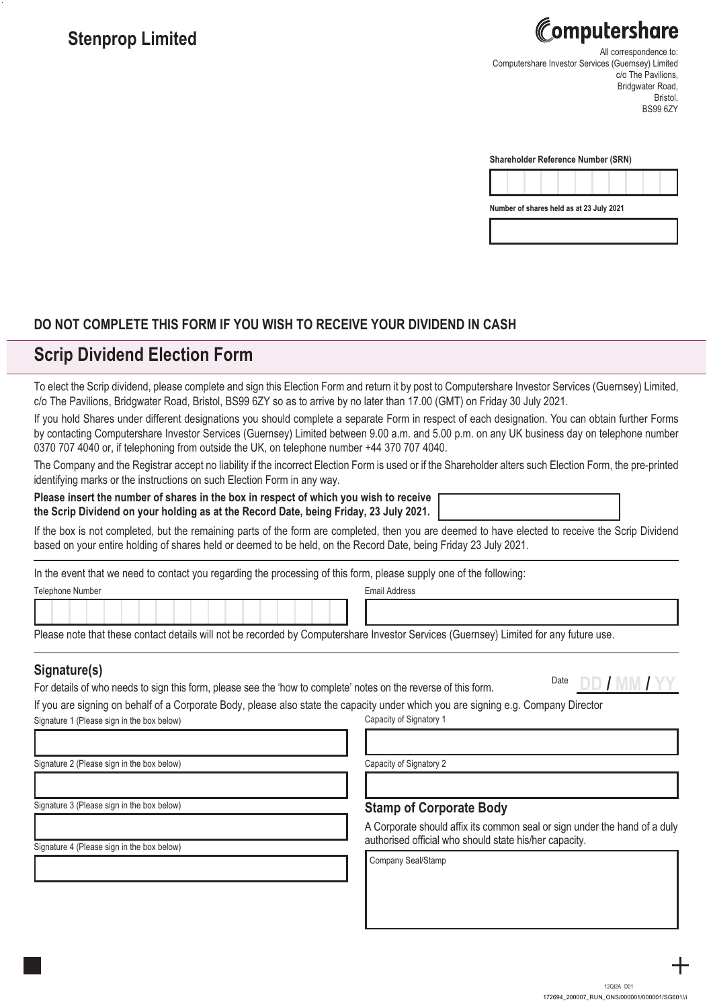# Stenprop Limited **All correspondence to: All correspondence to:**  $\alpha$

Computershare Investor Services (Guernsey) Limited c/o The Pavilions. Bridgwater Road, Bristol, BS99 6ZY

| <b>Shareholder Reference Number (SRN)</b> |  |  |  |
|-------------------------------------------|--|--|--|
|                                           |  |  |  |



## **DO NOT COMPLETE THIS FORM IF YOU WISH TO RECEIVE YOUR DIVIDEND IN CASH**

# **Scrip Dividend Election Form**

To elect the Scrip dividend, please complete and sign this Election Form and return it by post to Computershare Investor Services (Guernsey) Limited, c/o The Pavilions, Bridgwater Road, Bristol, BS99 6ZY so as to arrive by no later than 17.00 (GMT) on Friday 30 July 2021.

If you hold Shares under different designations you should complete a separate Form in respect of each designation. You can obtain further Forms by contacting Computershare Investor Services (Guernsey) Limited between 9.00 a.m. and 5.00 p.m. on any UK business day on telephone number 0370 707 4040 or, if telephoning from outside the UK, on telephone number +44 370 707 4040.

The Company and the Registrar accept no liability if the incorrect Election Form is used or if the Shareholder alters such Election Form, the pre-printed identifying marks or the instructions on such Election Form in any way.

**Please insert the number of shares in the box in respect of which you wish to receive the Scrip Dividend on your holding as at the Record Date, being Friday, 23 July 2021.** 

If the box is not completed, but the remaining parts of the form are completed, then you are deemed to have elected to receive the Scrip Dividend based on your entire holding of shares held or deemed to be held, on the Record Date, being Friday 23 July 2021.

In the event that we need to contact you regarding the processing of this form, please supply one of the following:

| Telephone Number |  |
|------------------|--|
|------------------|--|

**Email Address** 

Please note that these contact details will not be recorded by Computershare Investor Services (Guernsey) Limited for any future use.

For details of who needs to sign this form, please see the 'how to complete' notes on the reverse of this form. Date **DD / MM / YY Signature(s)**

If you are signing on behalf of a Corporate Body, please also state the capacity under which you are signing e.g. Company Director Signature 1 (Please sign in the box below) Capacity of Signatory 1

Signature 2 (Please sign in the box below)

Capacity of Signatory 2

Signature 3 (Please sign in the box below)

Signature 4 (Please sign in the box below)

### **Stamp of Corporate Body**

A Corporate should affix its common seal or sign under the hand of a duly authorised official who should state his/her capacity.

Company Seal/Stamp